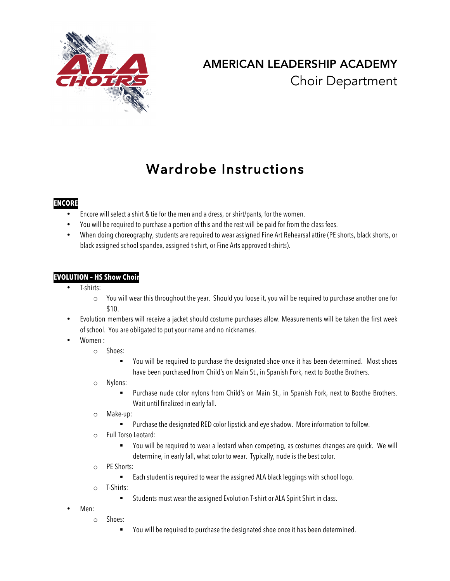

# AMERICAN LEADERSHIP ACADEMY Choir Department

# Wardrobe Instructions

## **ENCORE**

- Encore will select a shirt & tie for the men and a dress, or shirt/pants, for the women.
- You will be required to purchase a portion of this and the rest will be paid for from the class fees.
- When doing choreography, students are required to wear assigned Fine Art Rehearsal attire (PE shorts, black shorts, or black assigned school spandex, assigned t-shirt, or Fine Arts approved t-shirts).

## **EVOLUTION – HS Show Choir**

- T-shirts:
	- o You will wear this throughout the year. Should you loose it, you will be required to purchase another one for \$10.
- Evolution members will receive a jacket should costume purchases allow. Measurements will be taken the first week of school. You are obligated to put your name and no nicknames.
- Women :
	- o Shoes:
		- ! You will be required to purchase the designated shoe once it has been determined. Most shoes have been purchased from Child's on Main St., in Spanish Fork, next to Boothe Brothers.
	- o Nylons:
		- ! Purchase nude color nylons from Child's on Main St., in Spanish Fork, next to Boothe Brothers. Wait until finalized in early fall.
	- o Make-up:
		- Purchase the designated RED color lipstick and eye shadow. More information to follow.
	- o Full Torso Leotard:
		- ! You will be required to wear a leotard when competing, as costumes changes are quick. We will determine, in early fall, what color to wear. Typically, nude is the best color.
	- o PE Shorts:
		- **Each student is required to wear the assigned ALA black leggings with school logo.**
	- o T-Shirts:
		- ! Students must wear the assigned Evolution T-shirt or ALA Spirit Shirt in class.
- Men:
	- o Shoes:
		- ! You will be required to purchase the designated shoe once it has been determined.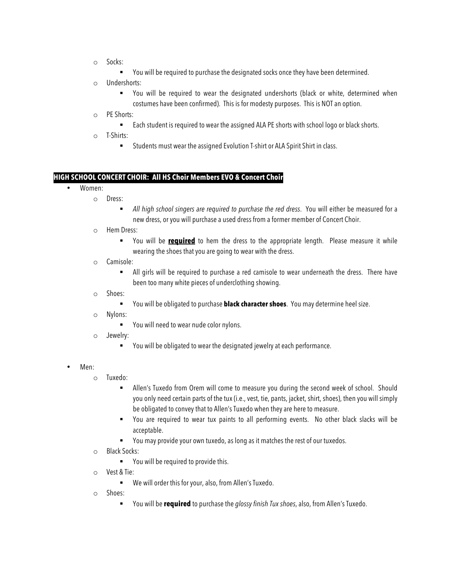o Socks:

" You will be required to purchase the designated socks once they have been determined.

- o Undershorts:
	- You will be required to wear the designated undershorts (black or white, determined when costumes have been confirmed). This is for modesty purposes. This is NOT an option.
- o PE Shorts:
	- " Each student is required to wear the assigned ALA PE shorts with school logo or black shorts.
- o T-Shirts:
	- ! Students must wear the assigned Evolution T-shirt or ALA Spirit Shirt in class.

### **HIGH SCHOOL CONCERT CHOIR: All HS Choir Members EVO & Concert Choir**

- Women:
	- o Dress:
		- ! *All high school singers are required to purchase the red dress*. You will either be measured for a new dress, or you will purchase a used dress from a former member of Concert Choir.
	- o Hem Dress:
		- ! You will be **required** to hem the dress to the appropriate length. Please measure it while wearing the shoes that you are going to wear with the dress.
	- o Camisole:
		- ! All girls will be required to purchase a red camisole to wear underneath the dress. There have been too many white pieces of underclothing showing.
	- o Shoes:
		- ! You will be obligated to purchase **black character shoes**. You may determine heel size.
	- o Nylons:
		- You will need to wear nude color nylons.
	- o Jewelry:
		- ! You will be obligated to wear the designated jewelry at each performance.
- Men:
	- o Tuxedo:
		- ! Allen's Tuxedo from Orem will come to measure you during the second week of school. Should you only need certain parts of the tux (i.e., vest, tie, pants, jacket, shirt, shoes), then you will simply be obligated to convey that to Allen's Tuxedo when they are here to measure.
		- ! You are required to wear tux paints to all performing events. No other black slacks will be acceptable.
		- ! You may provide your own tuxedo, as long as it matches the rest of our tuxedos.
	- o Black Socks:
		- ! You will be required to provide this.
	- o Vest & Tie:
		- ! We will order this for your, also, from Allen's Tuxedo.
	- o Shoes:
		- ! You will be **required** to purchase the *glossy finish Tux shoes*, also, from Allen's Tuxedo.